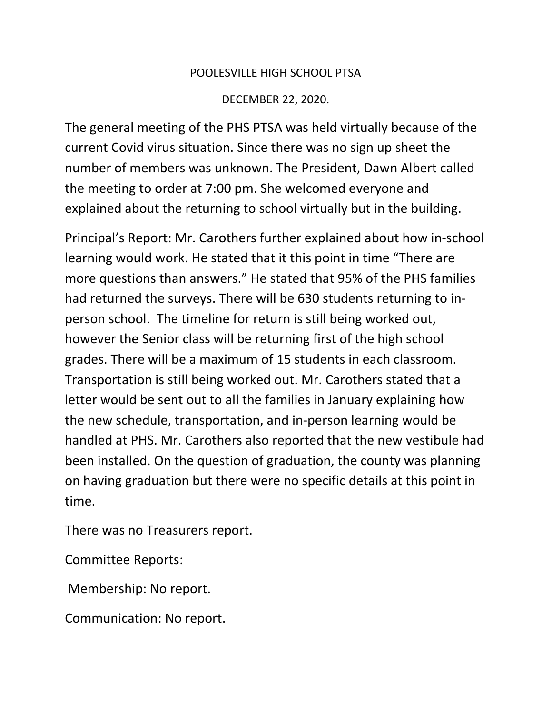## POOLESVILLE HIGH SCHOOL PTSA

## DECEMBER 22, 2020.

The general meeting of the PHS PTSA was held virtually because of the current Covid virus situation. Since there was no sign up sheet the number of members was unknown. The President, Dawn Albert called the meeting to order at 7:00 pm. She welcomed everyone and explained about the returning to school virtually but in the building.

Principal's Report: Mr. Carothers further explained about how in-school learning would work. He stated that it this point in time "There are more questions than answers." He stated that 95% of the PHS families had returned the surveys. There will be 630 students returning to inperson school. The timeline for return is still being worked out, however the Senior class will be returning first of the high school grades. There will be a maximum of 15 students in each classroom. Transportation is still being worked out. Mr. Carothers stated that a letter would be sent out to all the families in January explaining how the new schedule, transportation, and in-person learning would be handled at PHS. Mr. Carothers also reported that the new vestibule had been installed. On the question of graduation, the county was planning on having graduation but there were no specific details at this point in time.

There was no Treasurers report.

Committee Reports:

Membership: No report.

Communication: No report.